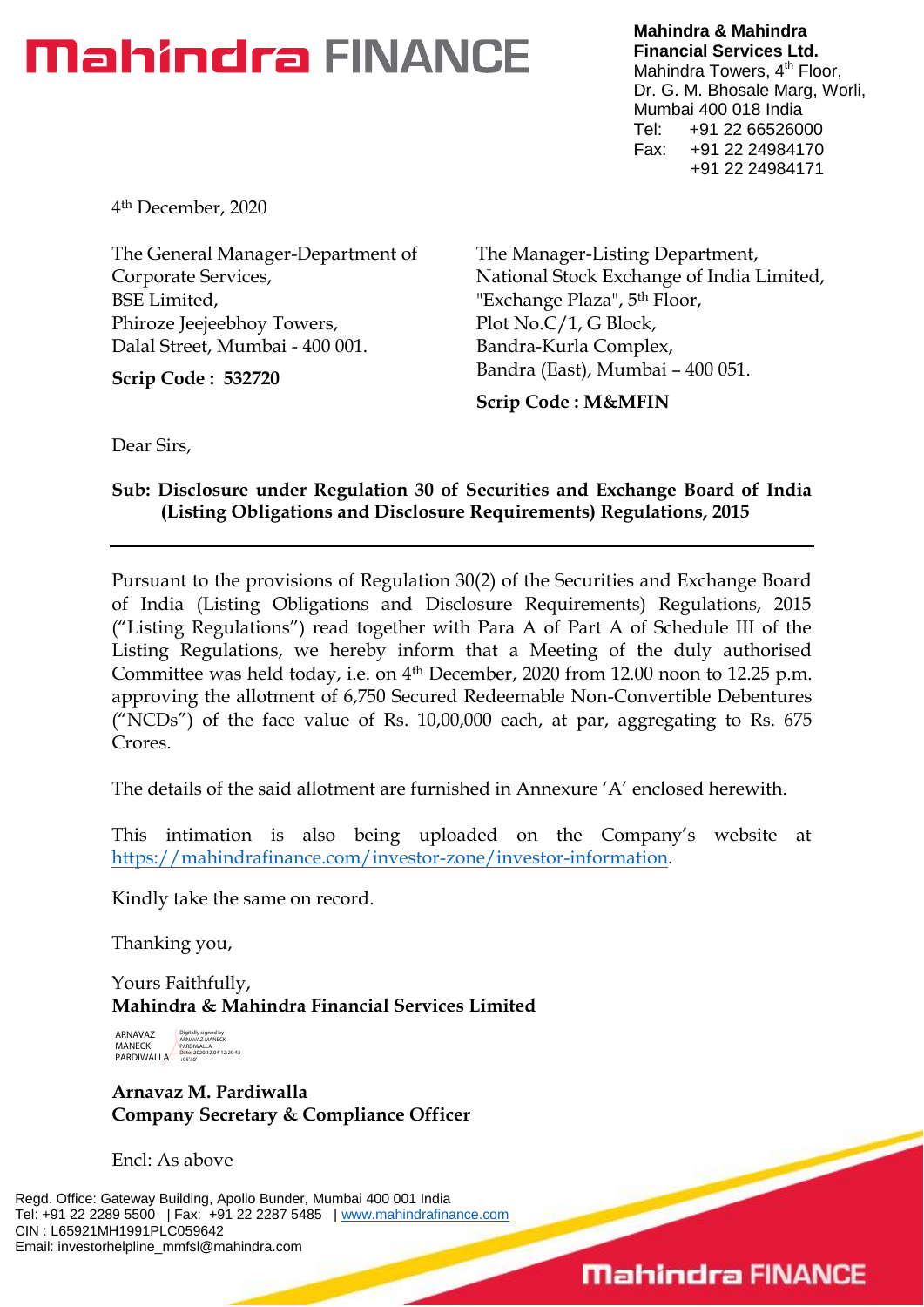# **Mahindra FINANCE**

**Mahindra & Mahindra Financial Services Ltd.** Mahindra Towers, 4<sup>th</sup> Floor, Dr. G. M. Bhosale Marg, Worli, Mumbai 400 018 India Tel: +91 22 66526000 Fax: +91 22 24984170 +91 22 24984171

4th December, 2020

The General Manager-Department of Corporate Services, BSE Limited, Phiroze Jeejeebhoy Towers, Dalal Street, Mumbai - 400 001.

**Scrip Code : 532720**

The Manager-Listing Department, National Stock Exchange of India Limited, "Exchange Plaza", 5<sup>th</sup> Floor, Plot No.C/1, G Block, Bandra-Kurla Complex, Bandra (East), Mumbai – 400 051.

**Scrip Code : M&MFIN**

Dear Sirs,

### **Sub: Disclosure under Regulation 30 of Securities and Exchange Board of India (Listing Obligations and Disclosure Requirements) Regulations, 2015**

Pursuant to the provisions of Regulation 30(2) of the Securities and Exchange Board of India (Listing Obligations and Disclosure Requirements) Regulations, 2015 ("Listing Regulations") read together with Para A of Part A of Schedule III of the Listing Regulations, we hereby inform that a Meeting of the duly authorised Committee was held today, i.e. on 4th December, 2020 from 12.00 noon to 12.25 p.m. approving the allotment of 6,750 Secured Redeemable Non-Convertible Debentures ("NCDs") of the face value of Rs. 10,00,000 each, at par, aggregating to Rs. 675 Crores.

The details of the said allotment are furnished in Annexure 'A' enclosed herewith.

This intimation is also being uploaded on the Company's website at [https://mahindrafinance.com/investor-zone/investor-information.](https://mahindrafinance.com/investor-zone/investor-information)

Kindly take the same on record.

Thanking you,

Yours Faithfully, **Mahindra & Mahindra Financial Services Limited**

ARNAVAZ MANECK PARDIWALLA Digitally signed by ARNAVAZ MANECK PARDIWALLA Date: 2020.12.04 12:29:43 +05'30'

**Arnavaz M. Pardiwalla Company Secretary & Compliance Officer**

Encl: As above

Regd. Office: Gateway Building, Apollo Bunder, Mumbai 400 001 India Tel: +91 22 2289 5500 | Fax: +91 22 2287 5485 | [www.mahindrafinance.com](http://www.mahindrafinance.com/) CIN : L65921MH1991PLC059642 Email: investorhelpline\_mmfsl@mahindra.com

## **Mahindra FINANCE**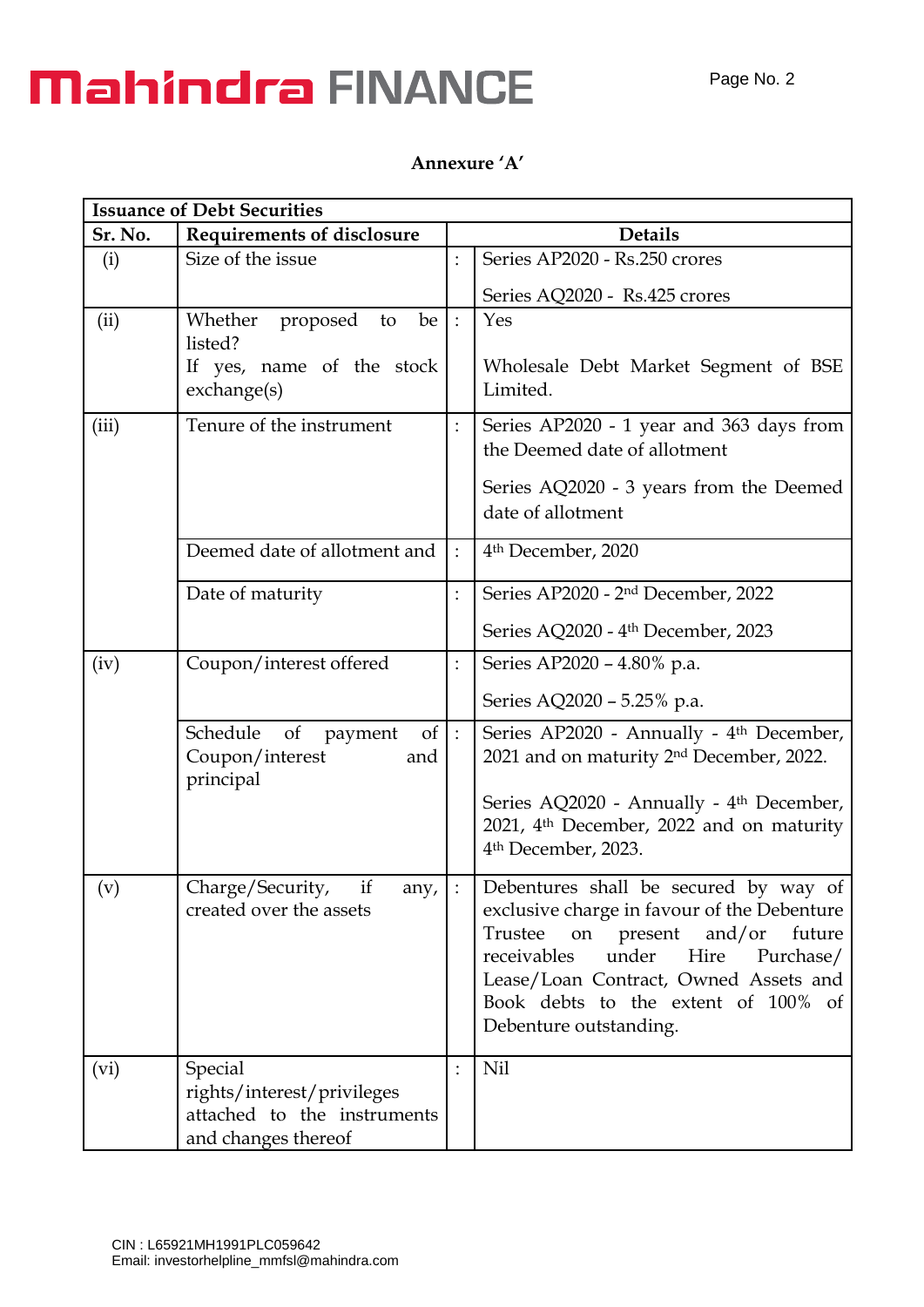# **Mahindra FINANCE**

#### Page No. 2

### **Annexure 'A'**

| <b>Issuance of Debt Securities</b> |                                                                                             |                         |                                                                                                                                                                                                                                                                                          |  |  |
|------------------------------------|---------------------------------------------------------------------------------------------|-------------------------|------------------------------------------------------------------------------------------------------------------------------------------------------------------------------------------------------------------------------------------------------------------------------------------|--|--|
| Sr. No.                            | <b>Requirements of disclosure</b>                                                           |                         | <b>Details</b>                                                                                                                                                                                                                                                                           |  |  |
| (i)                                | Size of the issue                                                                           | $\colon$                | Series AP2020 - Rs.250 crores                                                                                                                                                                                                                                                            |  |  |
|                                    |                                                                                             |                         | Series AQ2020 - Rs.425 crores                                                                                                                                                                                                                                                            |  |  |
| (ii)                               | Whether<br>proposed<br>be<br>to<br>listed?<br>If yes, name of the stock<br>exchange(s)      | $\therefore$            | Yes<br>Wholesale Debt Market Segment of BSE<br>Limited.                                                                                                                                                                                                                                  |  |  |
| (iii)                              | Tenure of the instrument                                                                    | :                       | Series AP2020 - 1 year and 363 days from<br>the Deemed date of allotment<br>Series AQ2020 - 3 years from the Deemed<br>date of allotment                                                                                                                                                 |  |  |
|                                    | Deemed date of allotment and                                                                | $\ddot{\cdot}$          | 4 <sup>th</sup> December, 2020                                                                                                                                                                                                                                                           |  |  |
|                                    | Date of maturity                                                                            | $\colon$                | Series AP2020 - 2 <sup>nd</sup> December, 2022<br>Series AQ2020 - 4 <sup>th</sup> December, 2023                                                                                                                                                                                         |  |  |
| (iv)                               | Coupon/interest offered                                                                     | $\colon$                | Series AP2020 - 4.80% p.a.                                                                                                                                                                                                                                                               |  |  |
|                                    |                                                                                             |                         | Series AQ2020 - 5.25% p.a.                                                                                                                                                                                                                                                               |  |  |
|                                    | $of$ :<br>Schedule<br>of<br>payment<br>Coupon/interest<br>and<br>principal                  |                         | Series AP2020 - Annually - 4 <sup>th</sup> December,<br>2021 and on maturity 2 <sup>nd</sup> December, 2022.<br>Series AQ2020 - Annually - 4 <sup>th</sup> December,<br>2021, 4 <sup>th</sup> December, 2022 and on maturity<br>4 <sup>th</sup> December, 2023.                          |  |  |
| (v)                                | if<br>Charge/Security,<br>any,<br>created over the assets                                   | $\overline{\mathbb{C}}$ | Debentures shall be secured by way of<br>exclusive charge in favour of the Debenture<br>Trustee<br>on present<br>and/or<br>future<br>receivables<br>under<br>Hire<br>Purchase/<br>Lease/Loan Contract, Owned Assets and<br>Book debts to the extent of 100% of<br>Debenture outstanding. |  |  |
| (vi)                               | Special<br>rights/interest/privileges<br>attached to the instruments<br>and changes thereof | $\ddot{\cdot}$          | Nil                                                                                                                                                                                                                                                                                      |  |  |